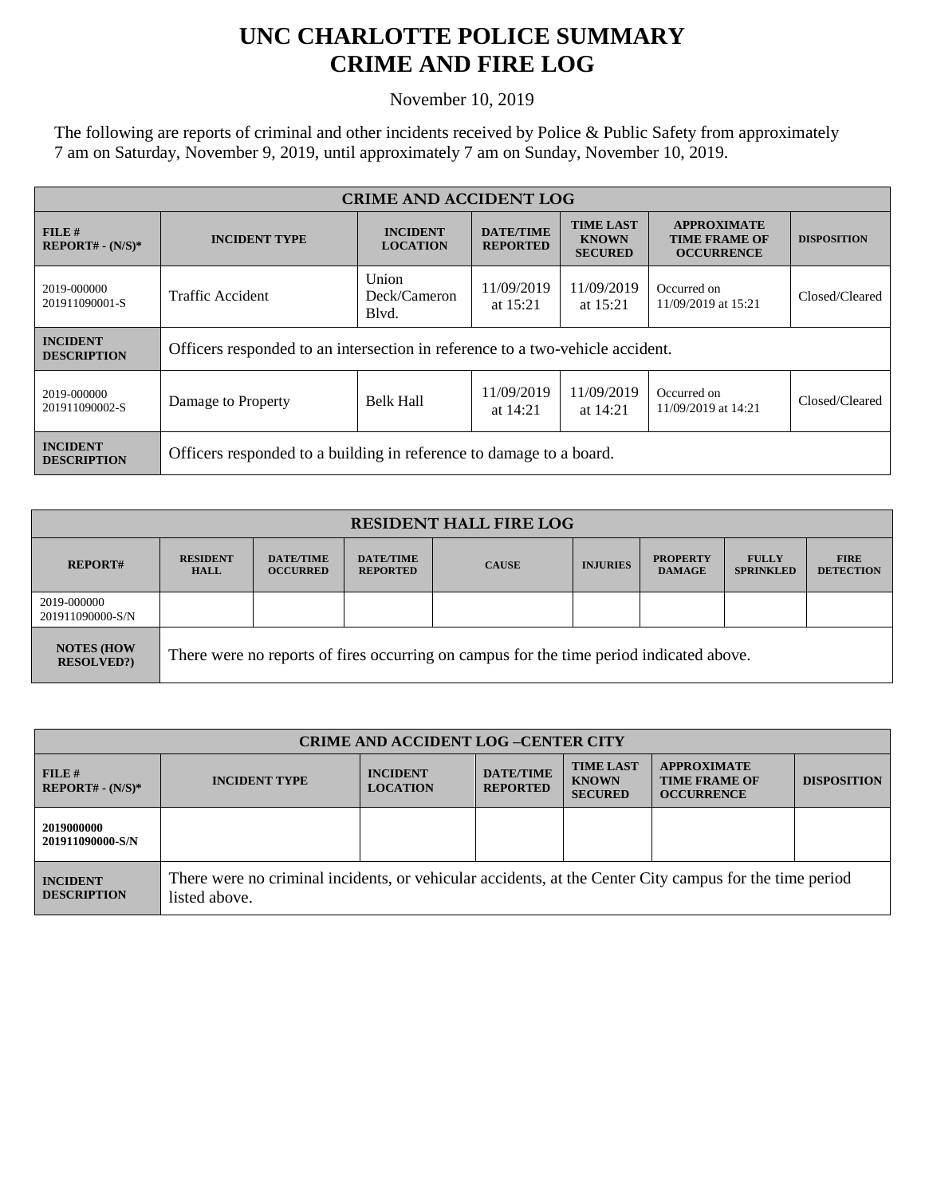## **UNC CHARLOTTE POLICE SUMMARY CRIME AND FIRE LOG**

November 10, 2019

The following are reports of criminal and other incidents received by Police & Public Safety from approximately 7 am on Saturday, November 9, 2019, until approximately 7 am on Sunday, November 10, 2019.

| <b>CRIME AND ACCIDENT LOG</b>         |                                                                               |                                    |                                     |                                                    |                                                                 |                    |  |
|---------------------------------------|-------------------------------------------------------------------------------|------------------------------------|-------------------------------------|----------------------------------------------------|-----------------------------------------------------------------|--------------------|--|
| FILE H<br>$REPORT# - (N/S)*$          | <b>INCIDENT TYPE</b>                                                          | <b>INCIDENT</b><br><b>LOCATION</b> | <b>DATE/TIME</b><br><b>REPORTED</b> | <b>TIME LAST</b><br><b>KNOWN</b><br><b>SECURED</b> | <b>APPROXIMATE</b><br><b>TIME FRAME OF</b><br><b>OCCURRENCE</b> | <b>DISPOSITION</b> |  |
| 2019-000000<br>201911090001-S         | Union<br><b>Traffic Accident</b><br>Deck/Cameron<br>Blyd.                     |                                    | 11/09/2019<br>at $15:21$            | 11/09/2019<br>at $15:21$                           | Occurred on<br>11/09/2019 at 15:21                              | Closed/Cleared     |  |
| <b>INCIDENT</b><br><b>DESCRIPTION</b> | Officers responded to an intersection in reference to a two-vehicle accident. |                                    |                                     |                                                    |                                                                 |                    |  |
| 2019-000000<br>201911090002-S         | Damage to Property                                                            | <b>Belk Hall</b>                   | 11/09/2019<br>at $14:21$            | 11/09/2019<br>at $14:21$                           | Occurred on<br>11/09/2019 at 14:21                              | Closed/Cleared     |  |
| <b>INCIDENT</b><br><b>DESCRIPTION</b> | Officers responded to a building in reference to damage to a board.           |                                    |                                     |                                                    |                                                                 |                    |  |

| <b>RESIDENT HALL FIRE LOG</b>         |                                                                                         |                                     |                                     |              |                 |                                  |                                  |                                 |
|---------------------------------------|-----------------------------------------------------------------------------------------|-------------------------------------|-------------------------------------|--------------|-----------------|----------------------------------|----------------------------------|---------------------------------|
| <b>REPORT#</b>                        | <b>RESIDENT</b><br><b>HALL</b>                                                          | <b>DATE/TIME</b><br><b>OCCURRED</b> | <b>DATE/TIME</b><br><b>REPORTED</b> | <b>CAUSE</b> | <b>INJURIES</b> | <b>PROPERTY</b><br><b>DAMAGE</b> | <b>FULLY</b><br><b>SPRINKLED</b> | <b>FIRE</b><br><b>DETECTION</b> |
| 2019-000000<br>201911090000-S/N       |                                                                                         |                                     |                                     |              |                 |                                  |                                  |                                 |
| <b>NOTES (HOW</b><br><b>RESOLVED?</b> | There were no reports of fires occurring on campus for the time period indicated above. |                                     |                                     |              |                 |                                  |                                  |                                 |

| <b>CRIME AND ACCIDENT LOG -CENTER CITY</b> |                                                                                                                          |                                    |                                     |                                                    |                                                                 |                    |
|--------------------------------------------|--------------------------------------------------------------------------------------------------------------------------|------------------------------------|-------------------------------------|----------------------------------------------------|-----------------------------------------------------------------|--------------------|
| FILE H<br>$REPORT# - (N/S)*$               | <b>INCIDENT TYPE</b>                                                                                                     | <b>INCIDENT</b><br><b>LOCATION</b> | <b>DATE/TIME</b><br><b>REPORTED</b> | <b>TIME LAST</b><br><b>KNOWN</b><br><b>SECURED</b> | <b>APPROXIMATE</b><br><b>TIME FRAME OF</b><br><b>OCCURRENCE</b> | <b>DISPOSITION</b> |
| 2019000000<br>201911090000-S/N             |                                                                                                                          |                                    |                                     |                                                    |                                                                 |                    |
| <b>INCIDENT</b><br><b>DESCRIPTION</b>      | There were no criminal incidents, or vehicular accidents, at the Center City campus for the time period<br>listed above. |                                    |                                     |                                                    |                                                                 |                    |